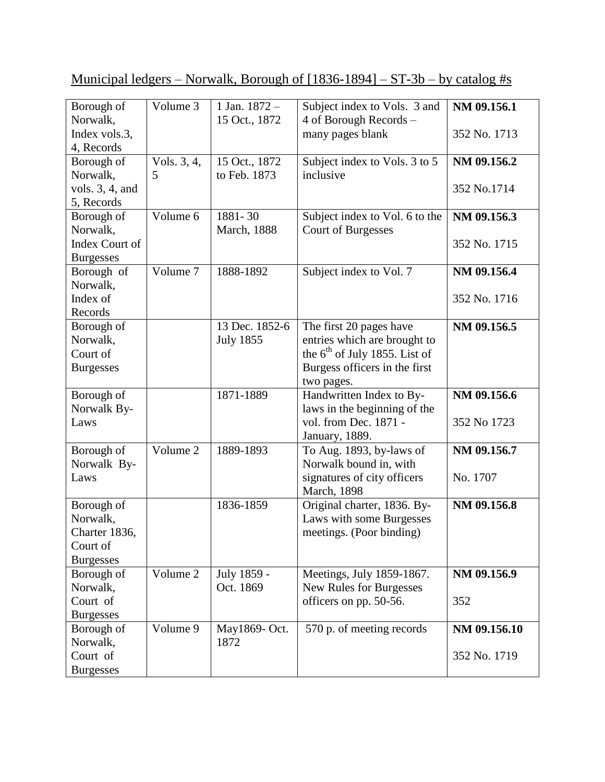| Municipal ledgers – Norwalk, Borough of $[1836-1894]$ – ST-3b – by catalog #s |  |  |  |
|-------------------------------------------------------------------------------|--|--|--|
|                                                                               |  |  |  |

| Borough of         | Volume 3    | 1 Jan. $1872 -$     | Subject index to Vols. 3 and    | NM 09.156.1  |
|--------------------|-------------|---------------------|---------------------------------|--------------|
| Norwalk,           |             | 15 Oct., 1872       | 4 of Borough Records -          |              |
| Index vols.3,      |             |                     | many pages blank                | 352 No. 1713 |
| 4, Records         |             |                     |                                 |              |
| Borough of         | Vols. 3, 4, | 15 Oct., 1872       | Subject index to Vols. 3 to 5   | NM 09.156.2  |
| Norwalk,           | 5           | to Feb. 1873        | inclusive                       |              |
| vols. $3, 4$ , and |             |                     |                                 | 352 No.1714  |
| 5, Records         |             |                     |                                 |              |
| Borough of         | Volume 6    | 1881-30             | Subject index to Vol. 6 to the  | NM 09.156.3  |
| Norwalk,           |             | <b>March</b> , 1888 | <b>Court of Burgesses</b>       |              |
| Index Court of     |             |                     |                                 | 352 No. 1715 |
| <b>Burgesses</b>   |             |                     |                                 |              |
| Borough of         | Volume 7    | 1888-1892           | Subject index to Vol. 7         | NM 09.156.4  |
| Norwalk,           |             |                     |                                 |              |
| Index of           |             |                     |                                 | 352 No. 1716 |
| Records            |             |                     |                                 |              |
| Borough of         |             | 13 Dec. 1852-6      | The first 20 pages have         | NM 09.156.5  |
| Norwalk,           |             | <b>July 1855</b>    | entries which are brought to    |              |
| Court of           |             |                     | the $6th$ of July 1855. List of |              |
| <b>Burgesses</b>   |             |                     | Burgess officers in the first   |              |
|                    |             |                     | two pages.                      |              |
| Borough of         |             | 1871-1889           | Handwritten Index to By-        | NM 09.156.6  |
| Norwalk By-        |             |                     | laws in the beginning of the    |              |
| Laws               |             |                     | vol. from Dec. 1871 -           | 352 No 1723  |
|                    |             |                     | January, 1889.                  |              |
| Borough of         | Volume 2    | 1889-1893           | To Aug. 1893, by-laws of        | NM 09.156.7  |
| Norwalk By-        |             |                     | Norwalk bound in, with          |              |
| Laws               |             |                     | signatures of city officers     | No. 1707     |
|                    |             |                     | March, 1898                     |              |
| Borough of         |             | 1836-1859           | Original charter, 1836. By-     | NM 09.156.8  |
| Norwalk,           |             |                     | Laws with some Burgesses        |              |
| Charter 1836,      |             |                     | meetings. (Poor binding)        |              |
| Court of           |             |                     |                                 |              |
| <b>Burgesses</b>   |             |                     |                                 |              |
| Borough of         | Volume 2    | July 1859 -         | Meetings, July 1859-1867.       | NM 09.156.9  |
| Norwalk,           |             | Oct. 1869           | New Rules for Burgesses         |              |
| Court of           |             |                     | officers on pp. 50-56.          | 352          |
| <b>Burgesses</b>   |             |                     |                                 |              |
| Borough of         | Volume 9    | May1869- Oct.       | 570 p. of meeting records       | NM 09.156.10 |
| Norwalk,           |             | 1872                |                                 |              |
| Court of           |             |                     |                                 | 352 No. 1719 |
| <b>Burgesses</b>   |             |                     |                                 |              |